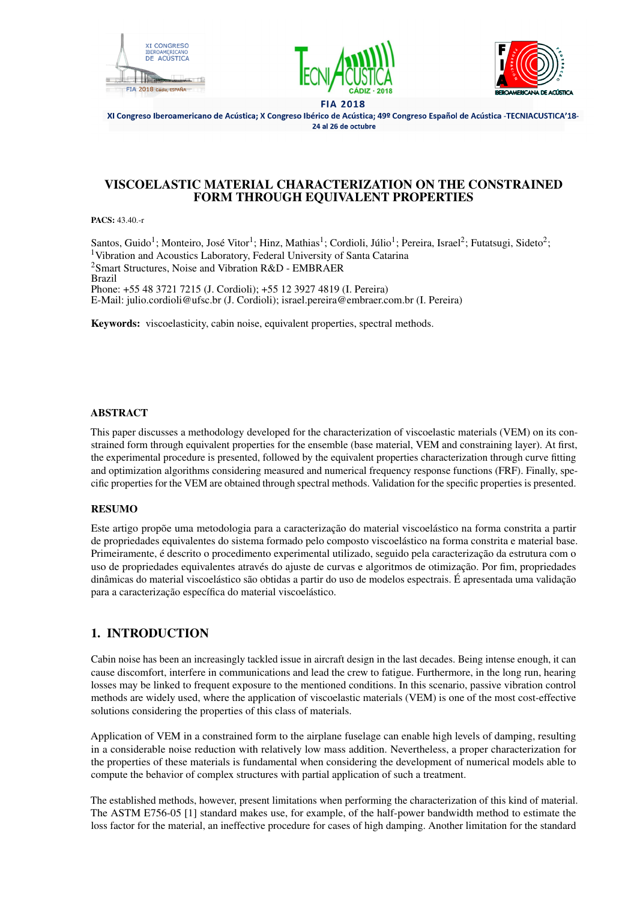





**FIA 2018** 

XI Congreso Iberoamericano de Acústica; X Congreso Ibérico de Acústica; 49º Congreso Español de Acústica -TECNIACUSTICA'18-24 al 26 de octubre

### VISCOELASTIC MATERIAL CHARACTERIZATION ON THE CONSTRAINED FORM THROUGH EQUIVALENT PROPERTIES

PACS: 43.40.-r

Santos, Guido<sup>1</sup>; Monteiro, José Vitor<sup>1</sup>; Hinz, Mathias<sup>1</sup>; Cordioli, Júlio<sup>1</sup>; Pereira, Israel<sup>2</sup>; Futatsugi, Sideto<sup>2</sup>; <sup>1</sup>Vibration and Acoustics Laboratory, Federal University of Santa Catarina <sup>2</sup>Smart Structures, Noise and Vibration R&D - EMBRAER Brazil Phone: +55 48 3721 7215 (J. Cordioli); +55 12 3927 4819 (I. Pereira) E-Mail: julio.cordioli@ufsc.br (J. Cordioli); israel.pereira@embraer.com.br (I. Pereira)

Keywords: viscoelasticity, cabin noise, equivalent properties, spectral methods.

#### ABSTRACT

This paper discusses a methodology developed for the characterization of viscoelastic materials (VEM) on its constrained form through equivalent properties for the ensemble (base material, VEM and constraining layer). At first, the experimental procedure is presented, followed by the equivalent properties characterization through curve fitting and optimization algorithms considering measured and numerical frequency response functions (FRF). Finally, specific properties for the VEM are obtained through spectral methods. Validation for the specific properties is presented.

#### RESUMO

Este artigo propõe uma metodologia para a caracterização do material viscoelástico na forma constrita a partir de propriedades equivalentes do sistema formado pelo composto viscoelástico na forma constrita e material base. Primeiramente, é descrito o procedimento experimental utilizado, seguido pela caracterização da estrutura com o uso de propriedades equivalentes através do ajuste de curvas e algoritmos de otimização. Por fim, propriedades dinâmicas do material viscoelástico são obtidas a partir do uso de modelos espectrais. É apresentada uma validação para a caracterização específica do material viscoelástico.

# 1. INTRODUCTION

Cabin noise has been an increasingly tackled issue in aircraft design in the last decades. Being intense enough, it can cause discomfort, interfere in communications and lead the crew to fatigue. Furthermore, in the long run, hearing losses may be linked to frequent exposure to the mentioned conditions. In this scenario, passive vibration control methods are widely used, where the application of viscoelastic materials (VEM) is one of the most cost-effective solutions considering the properties of this class of materials.

Application of VEM in a constrained form to the airplane fuselage can enable high levels of damping, resulting in a considerable noise reduction with relatively low mass addition. Nevertheless, a proper characterization for the properties of these materials is fundamental when considering the development of numerical models able to compute the behavior of complex structures with partial application of such a treatment.

The established methods, however, present limitations when performing the characterization of this kind of material. The ASTM E756-05 [\[1\]](#page-7-0) standard makes use, for example, of the half-power bandwidth method to estimate the loss factor for the material, an ineffective procedure for cases of high damping. Another limitation for the standard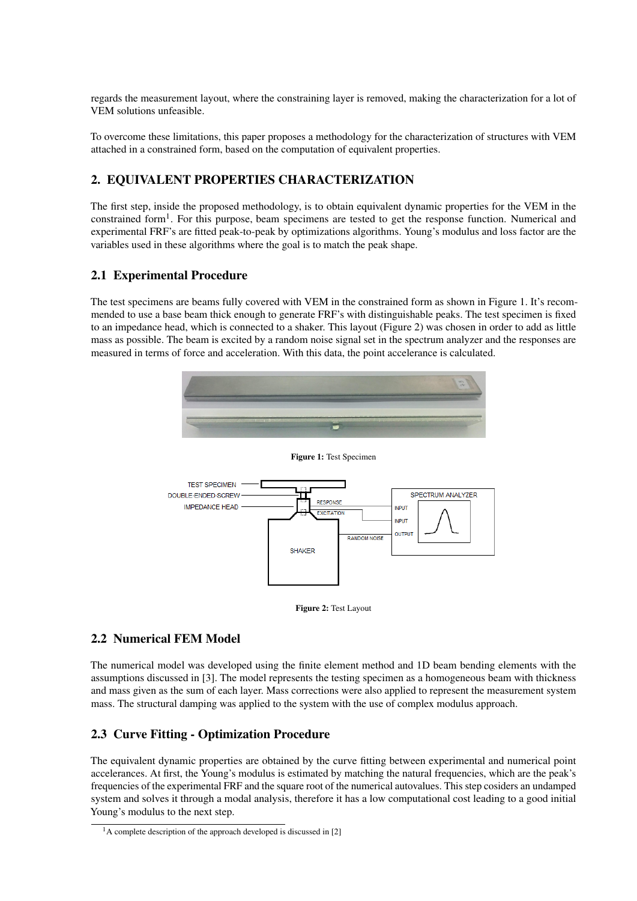regards the measurement layout, where the constraining layer is removed, making the characterization for a lot of VEM solutions unfeasible.

To overcome these limitations, this paper proposes a methodology for the characterization of structures with VEM attached in a constrained form, based on the computation of equivalent properties.

# 2. EQUIVALENT PROPERTIES CHARACTERIZATION

The first step, inside the proposed methodology, is to obtain equivalent dynamic properties for the VEM in the constrained form<sup>[1](#page-1-0)</sup>. For this purpose, beam specimens are tested to get the response function. Numerical and experimental FRF's are fitted peak-to-peak by optimizations algorithms. Young's modulus and loss factor are the variables used in these algorithms where the goal is to match the peak shape.

# 2.1 Experimental Procedure

<span id="page-1-1"></span>The test specimens are beams fully covered with VEM in the constrained form as shown in Figure [1.](#page-1-1) It's recommended to use a base beam thick enough to generate FRF's with distinguishable peaks. The test specimen is fixed to an impedance head, which is connected to a shaker. This layout (Figure [2\)](#page-1-2) was chosen in order to add as little mass as possible. The beam is excited by a random noise signal set in the spectrum analyzer and the responses are measured in terms of force and acceleration. With this data, the point accelerance is calculated.



<span id="page-1-2"></span>

Figure 1: Test Specimen

Figure 2: Test Layout

### 2.2 Numerical FEM Model

The numerical model was developed using the finite element method and 1D beam bending elements with the assumptions discussed in [\[3\]](#page-7-1). The model represents the testing specimen as a homogeneous beam with thickness and mass given as the sum of each layer. Mass corrections were also applied to represent the measurement system mass. The structural damping was applied to the system with the use of complex modulus approach.

# 2.3 Curve Fitting - Optimization Procedure

The equivalent dynamic properties are obtained by the curve fitting between experimental and numerical point accelerances. At first, the Young's modulus is estimated by matching the natural frequencies, which are the peak's frequencies of the experimental FRF and the square root of the numerical autovalues. This step cosiders an undamped system and solves it through a modal analysis, therefore it has a low computational cost leading to a good initial Young's modulus to the next step.

<span id="page-1-0"></span> $1<sup>1</sup>A$  complete description of the approach developed is discussed in [\[2\]](#page-7-2)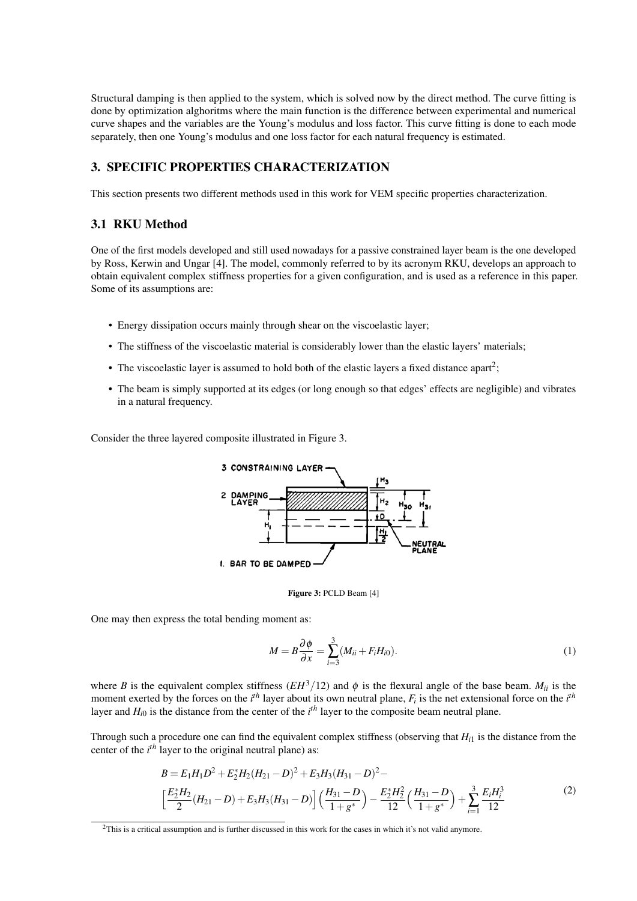Structural damping is then applied to the system, which is solved now by the direct method. The curve fitting is done by optimization alghoritms where the main function is the difference between experimental and numerical curve shapes and the variables are the Young's modulus and loss factor. This curve fitting is done to each mode separately, then one Young's modulus and one loss factor for each natural frequency is estimated.

### 3. SPECIFIC PROPERTIES CHARACTERIZATION

This section presents two different methods used in this work for VEM specific properties characterization.

#### 3.1 RKU Method

One of the first models developed and still used nowadays for a passive constrained layer beam is the one developed by Ross, Kerwin and Ungar [\[4\]](#page-7-3). The model, commonly referred to by its acronym RKU, develops an approach to obtain equivalent complex stiffness properties for a given configuration, and is used as a reference in this paper. Some of its assumptions are:

- Energy dissipation occurs mainly through shear on the viscoelastic layer;
- The stiffness of the viscoelastic material is considerably lower than the elastic layers' materials;
- The viscoelastic layer is assumed to hold both of the elastic layers a fixed distance apart<sup>[2](#page-2-0)</sup>;
- The beam is simply supported at its edges (or long enough so that edges' effects are negligible) and vibrates in a natural frequency.

<span id="page-2-1"></span>Consider the three layered composite illustrated in Figure [3.](#page-2-1)



Figure 3: PCLD Beam [\[4\]](#page-7-3)

One may then express the total bending moment as:

$$
M = B\frac{\partial \phi}{\partial x} = \sum_{i=3}^{3} (M_{ii} + F_i H_{i0}).
$$
\n(1)

where *B* is the equivalent complex stiffness  $(EH^3/12)$  and  $\phi$  is the flexural angle of the base beam.  $M_{ii}$  is the moment exerted by the forces on the  $i^{th}$  layer about its own neutral plane,  $F_i$  is the net extensional force on the  $i^{th}$ layer and  $H_{i0}$  is the distance from the center of the  $i<sup>th</sup>$  layer to the composite beam neutral plane.

Through such a procedure one can find the equivalent complex stiffness (observing that  $H_{i1}$  is the distance from the center of the *i th* layer to the original neutral plane) as:

$$
B = E_1 H_1 D^2 + E_2^* H_2 (H_{21} - D)^2 + E_3 H_3 (H_{31} - D)^2 -
$$
  
\n
$$
\left[ \frac{E_2^* H_2}{2} (H_{21} - D) + E_3 H_3 (H_{31} - D) \right] \left( \frac{H_{31} - D}{1 + g^*} \right) - \frac{E_2^* H_2^2}{12} \left( \frac{H_{31} - D}{1 + g^*} \right) + \sum_{i=1}^3 \frac{E_i H_i^3}{12}
$$
\n(2)

<span id="page-2-2"></span><span id="page-2-0"></span> $2$ This is a critical assumption and is further discussed in this work for the cases in which it's not valid anymore.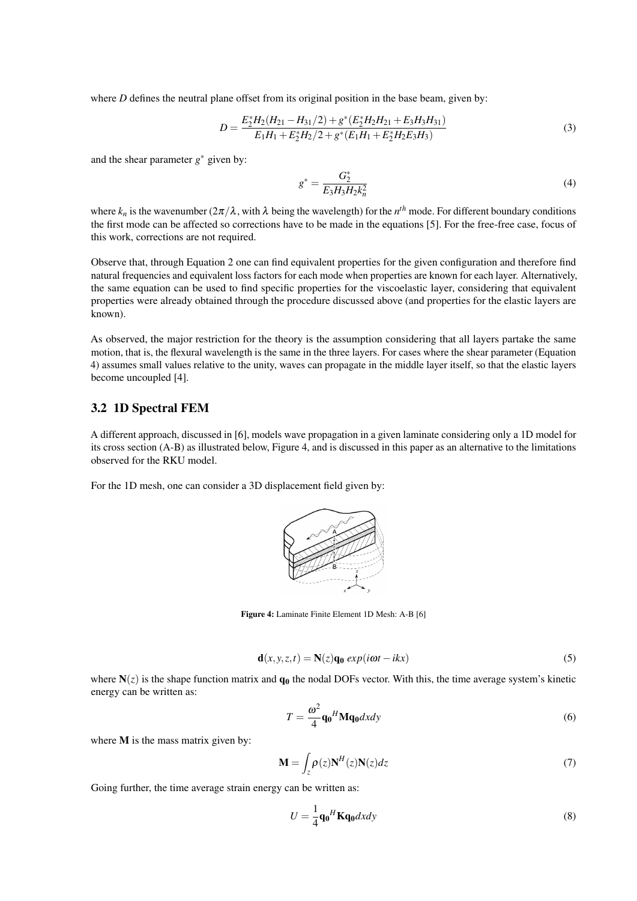where *D* defines the neutral plane offset from its original position in the base beam, given by:

$$
D = \frac{E_2^* H_2 (H_{21} - H_{31}/2) + g^* (E_2^* H_2 H_{21} + E_3 H_3 H_{31})}{E_1 H_1 + E_2^* H_2 / 2 + g^* (E_1 H_1 + E_2^* H_2 E_3 H_3)}
$$
(3)

and the shear parameter  $g^*$  given by:

<span id="page-3-0"></span>
$$
g^* = \frac{G_2^*}{E_3 H_3 H_2 k_n^2} \tag{4}
$$

where  $k_n$  is the wavenumber  $(2\pi/\lambda)$ , with  $\lambda$  being the wavelength) for the  $n^{th}$  mode. For different boundary conditions the first mode can be affected so corrections have to be made in the equations [\[5\]](#page-7-4). For the free-free case, focus of this work, corrections are not required.

Observe that, through Equation [2](#page-2-2) one can find equivalent properties for the given configuration and therefore find natural frequencies and equivalent loss factors for each mode when properties are known for each layer. Alternatively, the same equation can be used to find specific properties for the viscoelastic layer, considering that equivalent properties were already obtained through the procedure discussed above (and properties for the elastic layers are known).

As observed, the major restriction for the theory is the assumption considering that all layers partake the same motion, that is, the flexural wavelength is the same in the three layers. For cases where the shear parameter (Equation [4\)](#page-3-0) assumes small values relative to the unity, waves can propagate in the middle layer itself, so that the elastic layers become uncoupled [\[4\]](#page-7-3).

#### 3.2 1D Spectral FEM

A different approach, discussed in [\[6\]](#page-7-5), models wave propagation in a given laminate considering only a 1D model for its cross section (A-B) as illustrated below, Figure [4,](#page-3-1) and is discussed in this paper as an alternative to the limitations observed for the RKU model.

<span id="page-3-1"></span>For the 1D mesh, one can consider a 3D displacement field given by:



Figure 4: Laminate Finite Element 1D Mesh: A-B [\[6\]](#page-7-5)

$$
\mathbf{d}(x, y, z, t) = \mathbf{N}(z)\mathbf{q_0} \exp(i\omega t - ikx)
$$
 (5)

where  $N(z)$  is the shape function matrix and  $q_0$  the nodal DOFs vector. With this, the time average system's kinetic energy can be written as:

<span id="page-3-3"></span>
$$
T = \frac{\omega^2}{4} \mathbf{q_0}^H \mathbf{M} \mathbf{q_0} dx dy
$$
 (6)

where **M** is the mass matrix given by:

$$
\mathbf{M} = \int_{z} \rho(z) \mathbf{N}^{H}(z) \mathbf{N}(z) dz
$$
\n(7)

Going further, the time average strain energy can be written as:

<span id="page-3-2"></span>
$$
U = \frac{1}{4} \mathbf{q_0}^H \mathbf{K} \mathbf{q_0} dx dy
$$
 (8)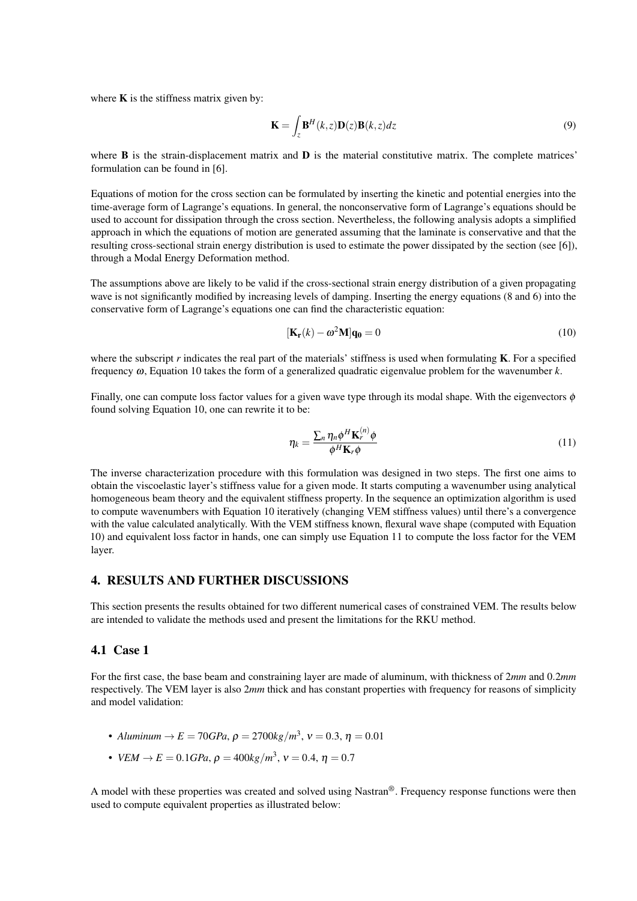where  $\bf{K}$  is the stiffness matrix given by:

$$
\mathbf{K} = \int_{z} \mathbf{B}^{H}(k, z) \mathbf{D}(z) \mathbf{B}(k, z) dz
$$
\n(9)

where  $\bf{B}$  is the strain-displacement matrix and  $\bf{D}$  is the material constitutive matrix. The complete matrices' formulation can be found in [\[6\]](#page-7-5).

Equations of motion for the cross section can be formulated by inserting the kinetic and potential energies into the time-average form of Lagrange's equations. In general, the nonconservative form of Lagrange's equations should be used to account for dissipation through the cross section. Nevertheless, the following analysis adopts a simplified approach in which the equations of motion are generated assuming that the laminate is conservative and that the resulting cross-sectional strain energy distribution is used to estimate the power dissipated by the section (see [\[6\]](#page-7-5)), through a Modal Energy Deformation method.

The assumptions above are likely to be valid if the cross-sectional strain energy distribution of a given propagating wave is not significantly modified by increasing levels of damping. Inserting the energy equations [\(8](#page-3-2) and [6\)](#page-3-3) into the conservative form of Lagrange's equations one can find the characteristic equation:

<span id="page-4-0"></span>
$$
[\mathbf{K}_{\mathbf{r}}(k) - \omega^2 \mathbf{M}] \mathbf{q_0} = 0 \tag{10}
$$

where the subscript  $r$  indicates the real part of the materials' stiffness is used when formulating  $K$ . For a specified frequency ω, Equation [10](#page-4-0) takes the form of a generalized quadratic eigenvalue problem for the wavenumber *k*.

Finally, one can compute loss factor values for a given wave type through its modal shape. With the eigenvectors  $\phi$ found solving Equation [10,](#page-4-0) one can rewrite it to be:

<span id="page-4-1"></span>
$$
\eta_k = \frac{\sum_n \eta_n \phi^H \mathbf{K}_r^{(n)} \phi}{\phi^H \mathbf{K}_r \phi}
$$
(11)

The inverse characterization procedure with this formulation was designed in two steps. The first one aims to obtain the viscoelastic layer's stiffness value for a given mode. It starts computing a wavenumber using analytical homogeneous beam theory and the equivalent stiffness property. In the sequence an optimization algorithm is used to compute wavenumbers with Equation [10](#page-4-0) iteratively (changing VEM stiffness values) until there's a convergence with the value calculated analytically. With the VEM stiffness known, flexural wave shape (computed with Equation [10\)](#page-4-0) and equivalent loss factor in hands, one can simply use Equation [11](#page-4-1) to compute the loss factor for the VEM layer.

### 4. RESULTS AND FURTHER DISCUSSIONS

This section presents the results obtained for two different numerical cases of constrained VEM. The results below are intended to validate the methods used and present the limitations for the RKU method.

#### 4.1 Case 1

For the first case, the base beam and constraining layer are made of aluminum, with thickness of 2*mm* and 0.2*mm* respectively. The VEM layer is also 2*mm* thick and has constant properties with frequency for reasons of simplicity and model validation:

- *Aluminum*  $\rightarrow$  *E* = 70*GPa*,  $\rho$  = 2700*kg*/*m*<sup>3</sup>,  $v$  = 0.3,  $η$  = 0.01
- *VEM*  $\rightarrow$  *E* = 0.1*GPa*, *ρ* = 400*kg*/*m*<sup>3</sup>, *ν* = 0.4, *η* = 0.7

A model with these properties was created and solved using Nastran®. Frequency response functions were then used to compute equivalent properties as illustrated below: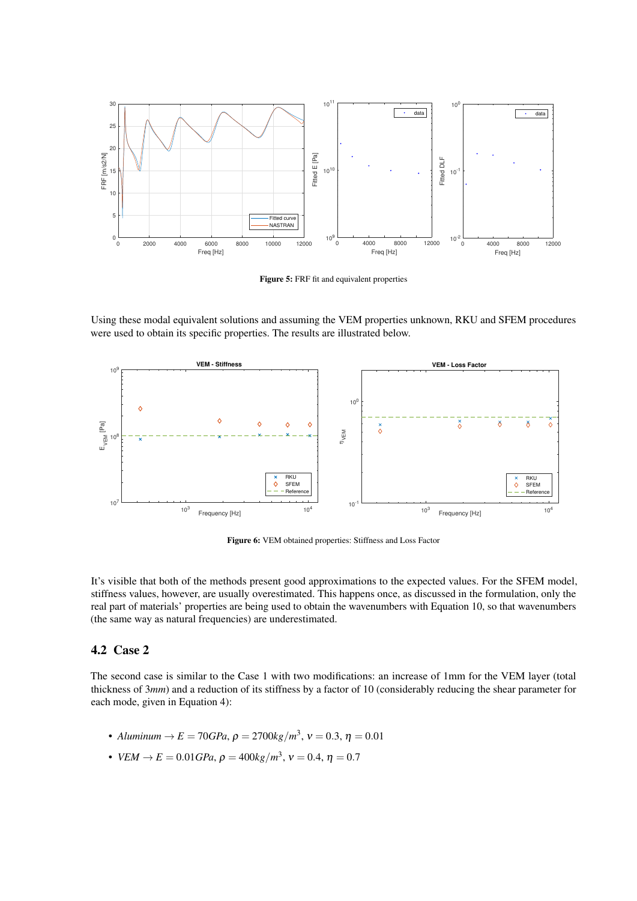

Figure 5: FRF fit and equivalent properties

Using these modal equivalent solutions and assuming the VEM properties unknown, RKU and SFEM procedures were used to obtain its specific properties. The results are illustrated below.



Figure 6: VEM obtained properties: Stiffness and Loss Factor

It's visible that both of the methods present good approximations to the expected values. For the SFEM model, stiffness values, however, are usually overestimated. This happens once, as discussed in the formulation, only the real part of materials' properties are being used to obtain the wavenumbers with Equation [10,](#page-4-0) so that wavenumbers (the same way as natural frequencies) are underestimated.

### 4.2 Case 2

The second case is similar to the Case 1 with two modifications: an increase of 1mm for the VEM layer (total thickness of 3*mm*) and a reduction of its stiffness by a factor of 10 (considerably reducing the shear parameter for each mode, given in Equation [4\)](#page-3-0):

- *Aluminum*  $\rightarrow$  *E* = 70*GPa*,  $\rho$  = 2700*kg*/*m*<sup>3</sup>,  $v$  = 0.3,  $η$  = 0.01
- *VEM*  $\rightarrow$  *E* = 0.01*GPa*,  $ρ = 400kg/m^3$ ,  $ν = 0.4$ ,  $η = 0.7$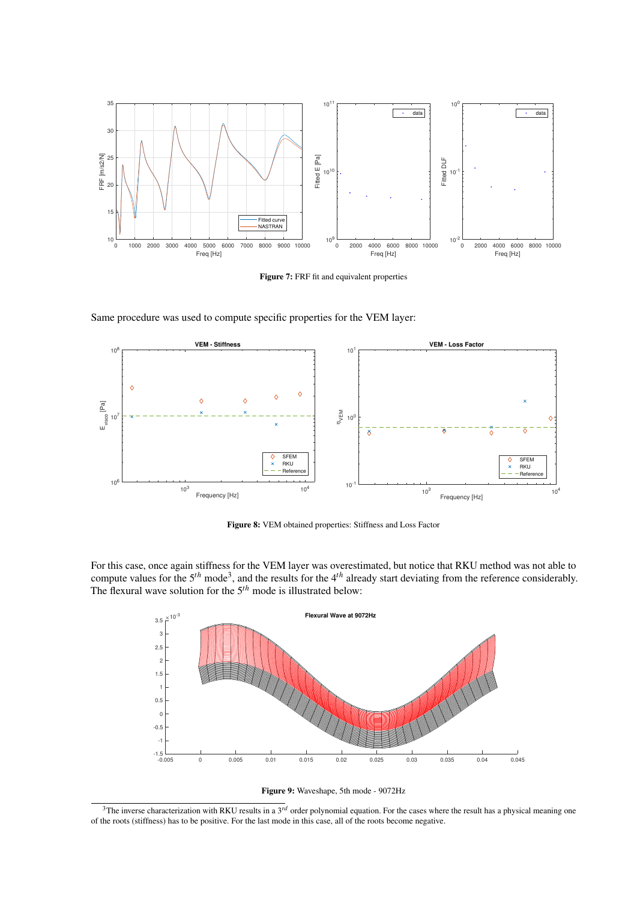

Figure 7: FRF fit and equivalent properties

Same procedure was used to compute specific properties for the VEM layer:



Figure 8: VEM obtained properties: Stiffness and Loss Factor

For this case, once again stiffness for the VEM layer was overestimated, but notice that RKU method was not able to compute values for the 5<sup>th</sup> mode<sup>[3](#page-6-0)</sup>, and the results for the 4<sup>th</sup> already start deviating from the reference considerably. The flexural wave solution for the 5*th* mode is illustrated below:





<span id="page-6-0"></span><sup>3</sup>The inverse characterization with RKU results in a 3<sup>rd</sup> order polynomial equation. For the cases where the result has a physical meaning one of the roots (stiffness) has to be positive. For the last mode in this case, all of the roots become negative.